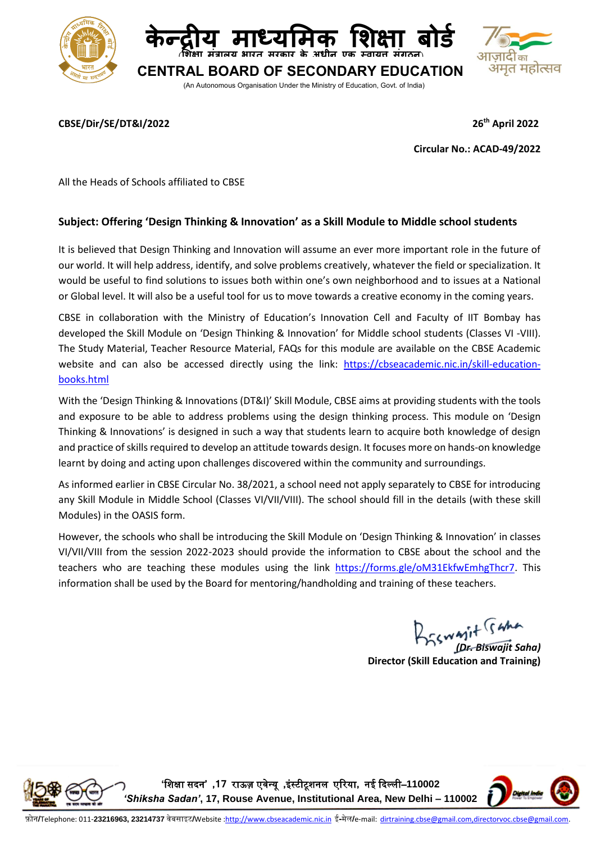

## **CBSE/Dir/SE/DT&I/2022 26**

**th April 2022**

**Circular No.: ACAD-49/2022**

All the Heads of Schools affiliated to CBSE

## **Subject: Offering 'Design Thinking & Innovation' as a Skill Module to Middle school students**

It is believed that Design Thinking and Innovation will assume an ever more important role in the future of our world. It will help address, identify, and solve problems creatively, whatever the field or specialization. It would be useful to find solutions to issues both within one's own neighborhood and to issues at a National or Global level. It will also be a useful tool for us to move towards a creative economy in the coming years.

CBSE in collaboration with the Ministry of Education's Innovation Cell and Faculty of IIT Bombay has developed the Skill Module on 'Design Thinking & Innovation' for Middle school students (Classes VI -VIII). The Study Material, Teacher Resource Material, FAQs for this module are available on the CBSE Academic website and can also be accessed directly using the link: [https://cbseacademic.nic.in/skill-education](https://cbseacademic.nic.in/skill-education-books.html)[books.html](https://cbseacademic.nic.in/skill-education-books.html)

With the 'Design Thinking & Innovations (DT&I)' Skill Module, CBSE aims at providing students with the tools and exposure to be able to address problems using the design thinking process. This module on 'Design Thinking & Innovations' is designed in such a way that students learn to acquire both knowledge of design and practice of skills required to develop an attitude towards design. It focuses more on hands-on knowledge learnt by doing and acting upon challenges discovered within the community and surroundings.

As informed earlier in CBSE Circular No. 38/2021, a school need not apply separately to CBSE for introducing any Skill Module in Middle School (Classes VI/VII/VIII). The school should fill in the details (with these skill Modules) in the OASIS form.

However, the schools who shall be introducing the Skill Module on 'Design Thinking & Innovation' in classes VI/VII/VIII from the session 2022-2023 should provide the information to CBSE about the school and the teachers who are teaching these modules using the link [https://forms.gle/oM31EkfwEmhgThcr7.](https://forms.gle/oM31EkfwEmhgThcr7) This information shall be used by the Board for mentoring/handholding and training of these teachers.

*(Dr. Biswajit Saha)*

**Director (Skill Education and Training)**